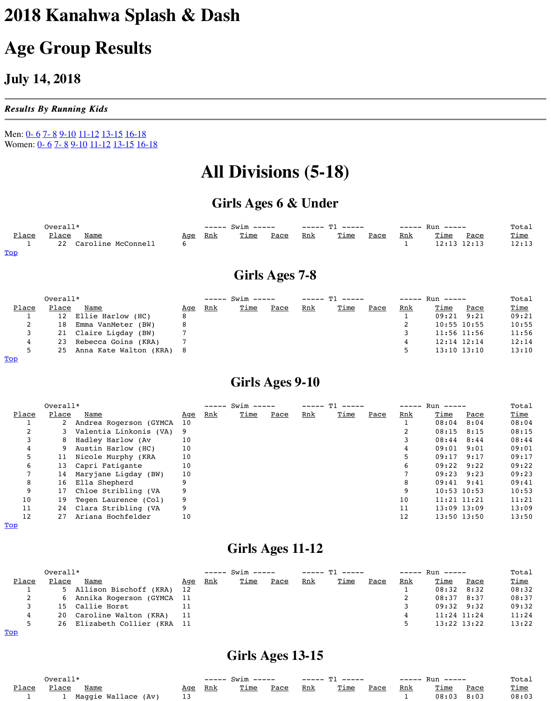|                                  | Overall*        |                        |            | $--- 5win $ |             |      |     | $---T1 -1$ |  |  |
|----------------------------------|-----------------|------------------------|------------|-------------|-------------|------|-----|------------|--|--|
| Place                            | Place           | <b>Name</b>            | <u>Age</u> | <u>Rnk</u>  | <u>Time</u> | Pace | Rnk | <u>Tin</u> |  |  |
|                                  | 12 <sub>2</sub> | Ellie Harlow (HC)      |            |             |             |      |     |            |  |  |
| ∠                                | 18              | Emma VanMeter (BW)     |            |             |             |      |     |            |  |  |
| ٮ                                |                 | 21 Claire Ligday (BW)  |            |             |             |      |     |            |  |  |
| 4                                | 23              | Rebecca Goins (KRA)    |            |             |             |      |     |            |  |  |
| 5                                | 25              | Anna Kate Walton (KRA) | - 8        |             |             |      |     |            |  |  |
| $\underline{\operatorname{Top}}$ |                 |                        |            |             |             |      |     |            |  |  |

### **Girls Ages 9-10**

|              | Overall*     |                          |            | $Swim$ ----- |             |      |            | ጥ 1                        |  |  |
|--------------|--------------|--------------------------|------------|--------------|-------------|------|------------|----------------------------|--|--|
| <u>Place</u> | <u>Place</u> | <u>Name</u>              | <u>Age</u> | <u>Rnk</u>   | <u>Time</u> | Pace | <u>Rnk</u> | $\underline{\texttt{rin}}$ |  |  |
|              |              | 2 Andrea Rogerson (GYMCA | 10         |              |             |      |            |                            |  |  |
|              |              | Valentia Linkonis (VA) 9 |            |              |             |      |            |                            |  |  |
|              | 8            | Hadley Harlow (Av        | 10         |              |             |      |            |                            |  |  |
| 4            |              | 9 Austin Harlow (HC)     | 10         |              |             |      |            |                            |  |  |
| 5            | 11           | Nicole Murphy (KRA       | 10         |              |             |      |            |                            |  |  |
| 6            | 13           | Capri Fatigante          | 10         |              |             |      |            |                            |  |  |
|              |              | 14 Maryjane Ligday (BW)  | 10         |              |             |      |            |                            |  |  |
| 8            | 16           | Ella Shepherd            |            |              |             |      |            |                            |  |  |
| 9            | 17           | Chloe Stribling (VA      |            |              |             |      |            |                            |  |  |
| 10           | 19           | Tegen Laurence (Col)     | 9          |              |             |      |            |                            |  |  |
| 11           |              | 24 Clara Stribling (VA   | 9          |              |             |      |            |                            |  |  |
| 12           | 27           | Ariana Hochfelder        | 10         |              |             |      |            |                            |  |  |

#### **Top**

# **Girls Ages 11-12**

|              | Overall* |                              |            |            | $--- 5win $ |      |            |            |
|--------------|----------|------------------------------|------------|------------|-------------|------|------------|------------|
| <u>Place</u> | Place    | <u>Name</u>                  | <u>Age</u> | <u>Rnk</u> | <u>Time</u> | Pace | <u>Rnk</u> | <u>Tin</u> |
|              |          | 5 Allison Bischoff (KRA)     | 12         |            |             |      |            |            |
| 2            |          | 6 Annika Rogerson (GYMCA 11  |            |            |             |      |            |            |
|              |          | 15 Callie Horst              |            |            |             |      |            |            |
| 4            |          | 20 Caroline Walton (KRA)     | - 11       |            |             |      |            |            |
| 5            |          | 26 Elizabeth Collier (KRA 11 |            |            |             |      |            |            |
| $m \sim m$   |          |                              |            |            |             |      |            |            |

Top

**Girls Ages 13-15**

| Overall*     |       |                     |            | —————      | m <sub>1</sub><br>------<br>$ -$ |      |            |     |
|--------------|-------|---------------------|------------|------------|----------------------------------|------|------------|-----|
| <u>Place</u> | Place | Name                | <u>Age</u> | <u>Rnk</u> | <u>Time</u>                      | Pace | <u>Rnk</u> | Tin |
|              |       | Maggie Wallace (Av) | 13         |            |                                  |      |            |     |